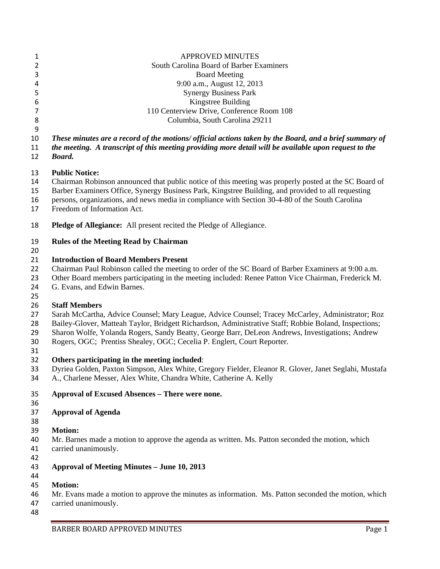| $\mathbf{1}$        | <b>APPROVED MINUTES</b>                                                                                                                                                     |
|---------------------|-----------------------------------------------------------------------------------------------------------------------------------------------------------------------------|
| $\overline{2}$<br>3 | South Carolina Board of Barber Examiners<br><b>Board Meeting</b>                                                                                                            |
| 4                   | 9:00 a.m., August 12, 2013                                                                                                                                                  |
| 5                   | <b>Synergy Business Park</b>                                                                                                                                                |
| 6                   | Kingstree Building                                                                                                                                                          |
| $\overline{7}$      | 110 Centerview Drive, Conference Room 108                                                                                                                                   |
| 8                   | Columbia, South Carolina 29211                                                                                                                                              |
| 9                   |                                                                                                                                                                             |
| 10                  | These minutes are a record of the motions/ official actions taken by the Board, and a brief summary of                                                                      |
| 11                  | the meeting. A transcript of this meeting providing more detail will be available upon request to the                                                                       |
| 12                  | <b>Board.</b>                                                                                                                                                               |
| 13                  | <b>Public Notice:</b>                                                                                                                                                       |
| 14                  | Chairman Robinson announced that public notice of this meeting was properly posted at the SC Board of                                                                       |
| 15                  | Barber Examiners Office, Synergy Business Park, Kingstree Building, and provided to all requesting                                                                          |
| 16                  | persons, organizations, and news media in compliance with Section 30-4-80 of the South Carolina                                                                             |
| 17                  | Freedom of Information Act.                                                                                                                                                 |
| 18                  | <b>Pledge of Allegiance:</b> All present recited the Pledge of Allegiance.                                                                                                  |
| 19<br>20            | <b>Rules of the Meeting Read by Chairman</b>                                                                                                                                |
| 21                  | <b>Introduction of Board Members Present</b>                                                                                                                                |
| 22                  | Chairman Paul Robinson called the meeting to order of the SC Board of Barber Examiners at 9:00 a.m.                                                                         |
| 23                  | Other Board members participating in the meeting included: Renee Patton Vice Chairman, Frederick M.                                                                         |
| 24                  | G. Evans, and Edwin Barnes.                                                                                                                                                 |
| 25                  |                                                                                                                                                                             |
| 26                  | <b>Staff Members</b>                                                                                                                                                        |
| 27                  | Sarah McCartha, Advice Counsel; Mary League, Advice Counsel; Tracey McCarley, Administrator; Roz                                                                            |
| 28                  | Bailey-Glover, Matteah Taylor, Bridgett Richardson, Administrative Staff; Robbie Boland, Inspections;                                                                       |
| 29                  | Sharon Wolfe, Yolanda Rogers, Sandy Beatty, George Barr, DeLeon Andrews, Investigations; Andrew                                                                             |
| 30                  | Rogers, OGC; Prentiss Shealey, OGC; Cecelia P. Englert, Court Reporter.                                                                                                     |
| 31                  |                                                                                                                                                                             |
| 32                  | Others participating in the meeting included:                                                                                                                               |
| 33<br>34            | Dyriea Golden, Paxton Simpson, Alex White, Gregory Fielder, Eleanor R. Glover, Janet Seglahi, Mustafa<br>A., Charlene Messer, Alex White, Chandra White, Catherine A. Kelly |
| 35                  | Approval of Excused Absences - There were none.                                                                                                                             |
| 36<br>37            | <b>Approval of Agenda</b>                                                                                                                                                   |
| 38<br>39            | <b>Motion:</b>                                                                                                                                                              |
| 40                  | Mr. Barnes made a motion to approve the agenda as written. Ms. Patton seconded the motion, which                                                                            |
| 41                  | carried unanimously.                                                                                                                                                        |
| 42                  |                                                                                                                                                                             |
| 43                  | <b>Approval of Meeting Minutes - June 10, 2013</b>                                                                                                                          |
| 44                  |                                                                                                                                                                             |
| 45                  | <b>Motion:</b>                                                                                                                                                              |
| 46                  | Mr. Evans made a motion to approve the minutes as information. Ms. Patton seconded the motion, which                                                                        |
| 47                  | carried unanimously.                                                                                                                                                        |
| 48                  |                                                                                                                                                                             |
|                     | BARBER BOARD APPROVED MINUTES<br>Page 1                                                                                                                                     |
|                     |                                                                                                                                                                             |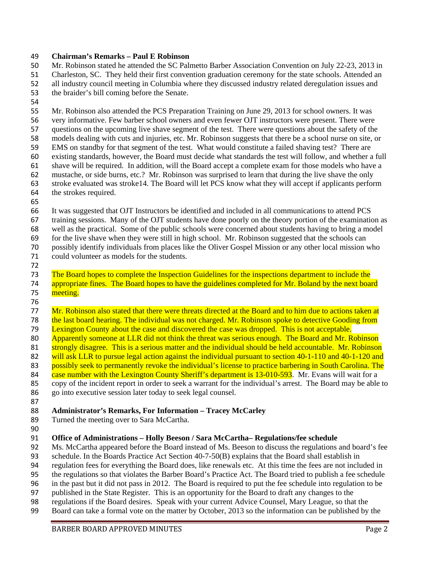#### **Chairman's Remarks – Paul E Robinson**

 Mr. Robinson stated he attended the SC Palmetto Barber Association Convention on July 22-23, 2013 in Charleston, SC. They held their first convention graduation ceremony for the state schools. Attended an all industry council meeting in Columbia where they discussed industry related deregulation issues and

- the braider's bill coming before the Senate.
- 

 Mr. Robinson also attended the PCS Preparation Training on June 29, 2013 for school owners. It was very informative. Few barber school owners and even fewer OJT instructors were present. There were questions on the upcoming live shave segment of the test. There were questions about the safety of the models dealing with cuts and injuries, etc. Mr. Robinson suggests that there be a school nurse on site, or EMS on standby for that segment of the test. What would constitute a failed shaving test? There are existing standards, however, the Board must decide what standards the test will follow, and whether a full shave will be required. In addition, will the Board accept a complete exam for those models who have a mustache, or side burns, etc.? Mr. Robinson was surprised to learn that during the live shave the only stroke evaluated was stroke14. The Board will let PCS know what they will accept if applicants perform the strokes required.

 It was suggested that OJT Instructors be identified and included in all communications to attend PCS training sessions. Many of the OJT students have done poorly on the theory portion of the examination as well as the practical. Some of the public schools were concerned about students having to bring a model for the live shave when they were still in high school. Mr. Robinson suggested that the schools can possibly identify individuals from places like the Oliver Gospel Mission or any other local mission who

- could volunteer as models for the students.
- 

 The Board hopes to complete the Inspection Guidelines for the inspections department to include the 74 appropriate fines. The Board hopes to have the guidelines completed for Mr. Boland by the next board 75 meeting.

77 Mr. Robinson also stated that there were threats directed at the Board and to him due to actions taken at 78 the last board hearing. The individual was not charged. Mr. Robinson spoke to detective Gooding from Lexington County about the case and discovered the case was dropped. This is not acceptable. 80 Apparently someone at LLR did not think the threat was serious enough. The Board and Mr. Robinson 81 strongly disagree. This is a serious matter and the individual should be held accountable. Mr. Robinson 82 will ask LLR to pursue legal action against the individual pursuant to section 40-1-110 and 40-1-120 and 83 possibly seek to permanently revoke the individual's license to practice barbering in South Carolina. The 84 case number with the Lexington County Sheriff's department is 13-010-593. Mr. Evans will wait for a copy of the incident report in order to seek a warrant for the individual's arrest. The Board may be able to go into executive session later today to seek legal counsel.

- **Administrator's Remarks, For Information – Tracey McCarley**
- 89 Turned the meeting over to Sara McCartha.
- 

**Office of Administrations – Holly Beeson / Sara McCartha– Regulations/fee schedule** 

- Ms. McCartha appeared before the Board instead of Ms. Beeson to discuss the regulations and board's fee
- schedule. In the Boards Practice Act Section 40-7-50(B) explains that the Board shall establish in
- regulation fees for everything the Board does, like renewals etc. At this time the fees are not included in
- the regulations so that violates the Barber Board's Practice Act. The Board tried to publish a fee schedule
- in the past but it did not pass in 2012. The Board is required to put the fee schedule into regulation to be
- published in the State Register. This is an opportunity for the Board to draft any changes to the
- regulations if the Board desires. Speak with your current Advice Counsel, Mary League, so that the
- Board can take a formal vote on the matter by October, 2013 so the information can be published by the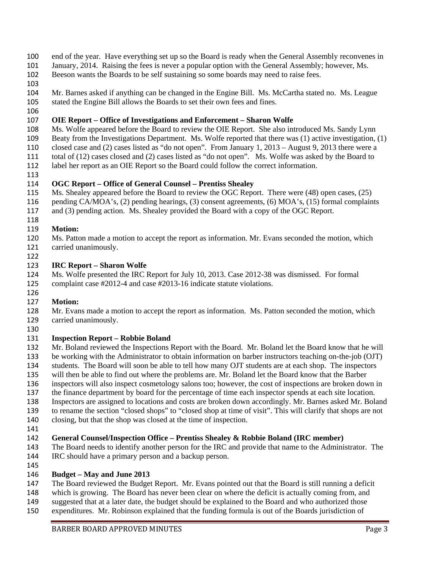- end of the year. Have everything set up so the Board is ready when the General Assembly reconvenes in
- January, 2014. Raising the fees is never a popular option with the General Assembly; however, Ms.
- Beeson wants the Boards to be self sustaining so some boards may need to raise fees.
- 
- Mr. Barnes asked if anything can be changed in the Engine Bill. Ms. McCartha stated no. Ms. League
- stated the Engine Bill allows the Boards to set their own fees and fines.
- 

### **OIE Report – Office of Investigations and Enforcement – Sharon Wolfe**

- Ms. Wolfe appeared before the Board to review the OIE Report. She also introduced Ms. Sandy Lynn
- Beaty from the Investigations Department. Ms. Wolfe reported that there was (1) active investigation, (1)
- closed case and (2) cases listed as "do not open". From January 1, 2013 August 9, 2013 there were a
- total of (12) cases closed and (2) cases listed as "do not open". Ms. Wolfe was asked by the Board to
- label her report as an OIE Report so the Board could follow the correct information.
- 

### **OGC Report – Office of General Counsel – Prentiss Shealey**

- Ms. Shealey appeared before the Board to review the OGC Report. There were (48) open cases, (25)
- pending CA/MOA's, (2) pending hearings, (3) consent agreements, (6) MOA's, (15) formal complaints
- and (3) pending action. Ms. Shealey provided the Board with a copy of the OGC Report.
- 

## **Motion:**

- Ms. Patton made a motion to accept the report as information. Mr. Evans seconded the motion, which carried unanimously.
- 

### **IRC Report – Sharon Wolfe**

 Ms. Wolfe presented the IRC Report for July 10, 2013. Case 2012-38 was dismissed. For formal complaint case #2012-4 and case #2013-16 indicate statute violations.

### **Motion:**

 Mr. Evans made a motion to accept the report as information. Ms. Patton seconded the motion, which carried unanimously.

### **Inspection Report – Robbie Boland**

 Mr. Boland reviewed the Inspections Report with the Board. Mr. Boland let the Board know that he will be working with the Administrator to obtain information on barber instructors teaching on-the-job (OJT)

- students. The Board will soon be able to tell how many OJT students are at each shop. The inspectors
- will then be able to find out where the problems are. Mr. Boland let the Board know that the Barber
- inspectors will also inspect cosmetology salons too; however, the cost of inspections are broken down in
- the finance department by board for the percentage of time each inspector spends at each site location.
- Inspectors are assigned to locations and costs are broken down accordingly. Mr. Barnes asked Mr. Boland
- to rename the section "closed shops" to "closed shop at time of visit". This will clarify that shops are not
- closing, but that the shop was closed at the time of inspection.
- 

### **General Counsel/Inspection Office – Prentiss Shealey & Robbie Boland (IRC member)**

- The Board needs to identify another person for the IRC and provide that name to the Administrator. The IRC should have a primary person and a backup person.
- 

### **Budget – May and June 2013**

- The Board reviewed the Budget Report. Mr. Evans pointed out that the Board is still running a deficit
- which is growing. The Board has never been clear on where the deficit is actually coming from, and
- suggested that at a later date, the budget should be explained to the Board and who authorized those
- expenditures. Mr. Robinson explained that the funding formula is out of the Boards jurisdiction of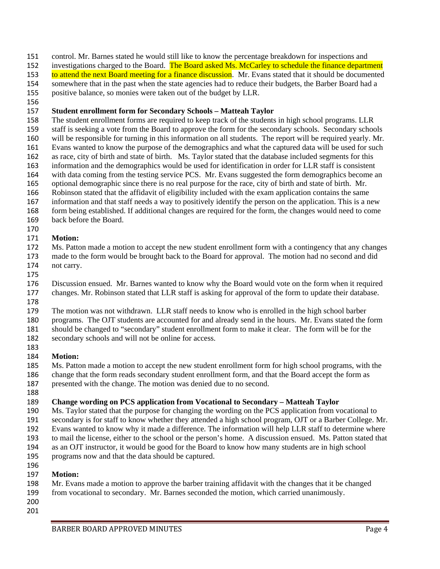control. Mr. Barnes stated he would still like to know the percentage breakdown for inspections and

152 investigations charged to the Board. The Board asked Ms. McCarley to schedule the finance department

153 to attend the next Board meeting for a finance discussion. Mr. Evans stated that it should be documented somewhere that in the past when the state agencies had to reduce their budgets, the Barber Board had a

positive balance, so monies were taken out of the budget by LLR.

### **Student enrollment form for Secondary Schools – Matteah Taylor**

 The student enrollment forms are required to keep track of the students in high school programs. LLR staff is seeking a vote from the Board to approve the form for the secondary schools. Secondary schools

will be responsible for turning in this information on all students. The report will be required yearly. Mr.

 Evans wanted to know the purpose of the demographics and what the captured data will be used for such as race, city of birth and state of birth. Ms. Taylor stated that the database included segments for this

information and the demographics would be used for identification in order for LLR staff is consistent

with data coming from the testing service PCS. Mr. Evans suggested the form demographics become an

optional demographic since there is no real purpose for the race, city of birth and state of birth. Mr.

Robinson stated that the affidavit of eligibility included with the exam application contains the same

information and that staff needs a way to positively identify the person on the application. This is a new

form being established. If additional changes are required for the form, the changes would need to come

back before the Board.

### **Motion:**

 Ms. Patton made a motion to accept the new student enrollment form with a contingency that any changes made to the form would be brought back to the Board for approval. The motion had no second and did not carry.

 Discussion ensued. Mr. Barnes wanted to know why the Board would vote on the form when it required changes. Mr. Robinson stated that LLR staff is asking for approval of the form to update their database.

The motion was not withdrawn. LLR staff needs to know who is enrolled in the high school barber

programs. The OJT students are accounted for and already send in the hours. Mr. Evans stated the form

should be changed to "secondary" student enrollment form to make it clear. The form will be for the

secondary schools and will not be online for access.

## **Motion:**

Ms. Patton made a motion to accept the new student enrollment form for high school programs, with the

change that the form reads secondary student enrollment form, and that the Board accept the form as

presented with the change. The motion was denied due to no second.

# **Change wording on PCS application from Vocational to Secondary – Matteah Taylor**

Ms. Taylor stated that the purpose for changing the wording on the PCS application from vocational to

secondary is for staff to know whether they attended a high school program, OJT or a Barber College. Mr.

Evans wanted to know why it made a difference. The information will help LLR staff to determine where

to mail the license, either to the school or the person's home. A discussion ensued. Ms. Patton stated that

as an OJT instructor, it would be good for the Board to know how many students are in high school

 programs now and that the data should be captured. 

# **Motion:**

- Mr. Evans made a motion to approve the barber training affidavit with the changes that it be changed
- from vocational to secondary. Mr. Barnes seconded the motion, which carried unanimously.
-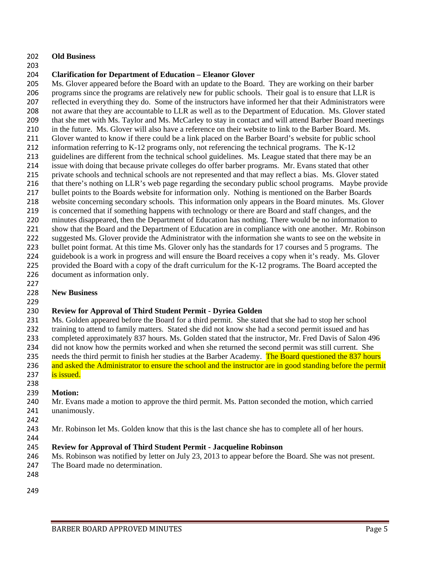#### **Old Business**

#### **Clarification for Department of Education – Eleanor Glover**

 Ms. Glover appeared before the Board with an update to the Board. They are working on their barber programs since the programs are relatively new for public schools. Their goal is to ensure that LLR is reflected in everything they do. Some of the instructors have informed her that their Administrators were not aware that they are accountable to LLR as well as to the Department of Education. Ms. Glover stated that she met with Ms. Taylor and Ms. McCarley to stay in contact and will attend Barber Board meetings in the future. Ms. Glover will also have a reference on their website to link to the Barber Board. Ms. Glover wanted to know if there could be a link placed on the Barber Board's website for public school information referring to K-12 programs only, not referencing the technical programs. The K-12 guidelines are different from the technical school guidelines. Ms. League stated that there may be an issue with doing that because private colleges do offer barber programs. Mr. Evans stated that other private schools and technical schools are not represented and that may reflect a bias. Ms. Glover stated that there's nothing on LLR's web page regarding the secondary public school programs. Maybe provide bullet points to the Boards website for information only. Nothing is mentioned on the Barber Boards website concerning secondary schools. This information only appears in the Board minutes. Ms. Glover is concerned that if something happens with technology or there are Board and staff changes, and the minutes disappeared, then the Department of Education has nothing. There would be no information to show that the Board and the Department of Education are in compliance with one another. Mr. Robinson 222 suggested Ms. Glover provide the Administrator with the information she wants to see on the website in 223 bullet point format. At this time Ms. Glover only has the standards for 17 courses and 5 programs. The guidebook is a work in progress and will ensure the Board receives a copy when it's ready. Ms. Glover provided the Board with a copy of the draft curriculum for the K-12 programs. The Board accepted the document as information only.

### **New Business**

### 

### **Review for Approval of Third Student Permit - Dyriea Golden**

 Ms. Golden appeared before the Board for a third permit. She stated that she had to stop her school training to attend to family matters. Stated she did not know she had a second permit issued and has completed approximately 837 hours. Ms. Golden stated that the instructor, Mr. Fred Davis of Salon 496 did not know how the permits worked and when she returned the second permit was still current. She 235 needs the third permit to finish her studies at the Barber Academy. The Board questioned the 837 hours 236 and asked the Administrator to ensure the school and the instructor are in good standing before the permit

- 237 is issued.
- 

### **Motion:**

- Mr. Evans made a motion to approve the third permit. Ms. Patton seconded the motion, which carried unanimously.
- 
- Mr. Robinson let Ms. Golden know that this is the last chance she has to complete all of her hours.
- 

### **Review for Approval of Third Student Permit - Jacqueline Robinson**

- Ms. Robinson was notified by letter on July 23, 2013 to appear before the Board. She was not present.
- 247 The Board made no determination.
- 
-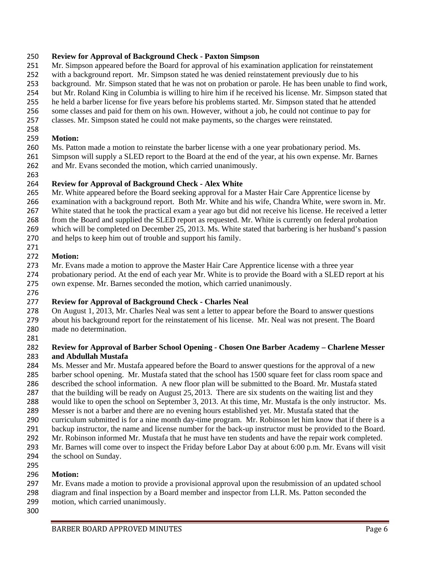#### **Review for Approval of Background Check - Paxton Simpson**

- Mr. Simpson appeared before the Board for approval of his examination application for reinstatement
- with a background report. Mr. Simpson stated he was denied reinstatement previously due to his
- background. Mr. Simpson stated that he was not on probation or parole. He has been unable to find work,
- but Mr. Roland King in Columbia is willing to hire him if he received his license. Mr. Simpson stated that
- he held a barber license for five years before his problems started. Mr. Simpson stated that he attended
- some classes and paid for them on his own. However, without a job, he could not continue to pay for
- classes. Mr. Simpson stated he could not make payments, so the charges were reinstated.

#### **Motion:**

- Ms. Patton made a motion to reinstate the barber license with a one year probationary period. Ms.
- Simpson will supply a SLED report to the Board at the end of the year, at his own expense. Mr. Barnes and Mr. Evans seconded the motion, which carried unanimously.
- 

### **Review for Approval of Background Check - Alex White**

- Mr. White appeared before the Board seeking approval for a Master Hair Care Apprentice license by
- examination with a background report. Both Mr. White and his wife, Chandra White, were sworn in. Mr.
- White stated that he took the practical exam a year ago but did not receive his license. He received a letter
- from the Board and supplied the SLED report as requested. Mr. White is currently on federal probation
- which will be completed on December 25, 2013. Ms. White stated that barbering is her husband's passion
- and helps to keep him out of trouble and support his family.

#### **Motion:**

- Mr. Evans made a motion to approve the Master Hair Care Apprentice license with a three year
- probationary period. At the end of each year Mr. White is to provide the Board with a SLED report at his own expense. Mr. Barnes seconded the motion, which carried unanimously.
- 

### **Review for Approval of Background Check - Charles Neal**

- On August 1, 2013, Mr. Charles Neal was sent a letter to appear before the Board to answer questions about his background report for the reinstatement of his license. Mr. Neal was not present. The Board made no determination.
- 

#### **Review for Approval of Barber School Opening - Chosen One Barber Academy – Charlene Messer and Abdullah Mustafa**

- Ms. Messer and Mr. Mustafa appeared before the Board to answer questions for the approval of a new
- barber school opening. Mr. Mustafa stated that the school has 1500 square feet for class room space and
- described the school information. A new floor plan will be submitted to the Board. Mr. Mustafa stated
- that the building will be ready on August 25, 2013. There are six students on the waiting list and they would like to open the school on September 3, 2013. At this time, Mr. Mustafa is the only instructor. Ms.
- Messer is not a barber and there are no evening hours established yet. Mr. Mustafa stated that the
- curriculum submitted is for a nine month day-time program. Mr. Robinson let him know that if there is a
- backup instructor, the name and license number for the back-up instructor must be provided to the Board.
- Mr. Robinson informed Mr. Mustafa that he must have ten students and have the repair work completed.
- Mr. Barnes will come over to inspect the Friday before Labor Day at about 6:00 p.m. Mr. Evans will visit
- the school on Sunday.

#### **Motion:**

- Mr. Evans made a motion to provide a provisional approval upon the resubmission of an updated school
- diagram and final inspection by a Board member and inspector from LLR. Ms. Patton seconded the
- motion, which carried unanimously.
-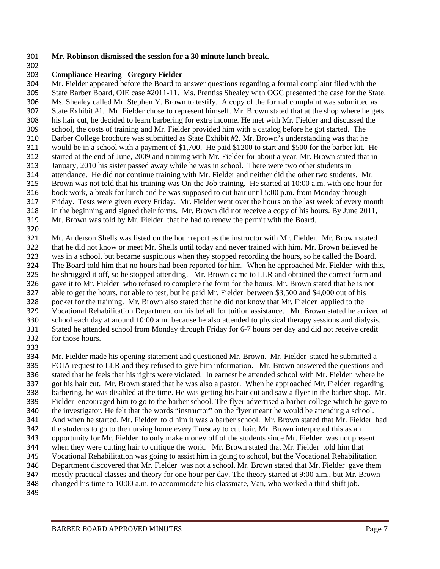#### **Mr. Robinson dismissed the session for a 30 minute lunch break.**

#### **Compliance Hearing– Gregory Fielder**

 Mr. Fielder appeared before the Board to answer questions regarding a formal complaint filed with the State Barber Board, OIE case #2011-11. Ms. Prentiss Shealey with OGC presented the case for the State. Ms. Shealey called Mr. Stephen Y. Brown to testify. A copy of the formal complaint was submitted as State Exhibit #1. Mr. Fielder chose to represent himself. Mr. Brown stated that at the shop where he gets his hair cut, he decided to learn barbering for extra income. He met with Mr. Fielder and discussed the school, the costs of training and Mr. Fielder provided him with a catalog before he got started. The Barber College brochure was submitted as State Exhibit #2. Mr. Brown's understanding was that he would be in a school with a payment of \$1,700. He paid \$1200 to start and \$500 for the barber kit. He started at the end of June, 2009 and training with Mr. Fielder for about a year. Mr. Brown stated that in January, 2010 his sister passed away while he was in school. There were two other students in attendance. He did not continue training with Mr. Fielder and neither did the other two students. Mr. Brown was not told that his training was On-the-Job training. He started at 10:00 a.m. with one hour for book work, a break for lunch and he was supposed to cut hair until 5:00 p.m. from Monday through Friday. Tests were given every Friday. Mr. Fielder went over the hours on the last week of every month in the beginning and signed their forms. Mr. Brown did not receive a copy of his hours. By June 2011, Mr. Brown was told by Mr. Fielder that he had to renew the permit with the Board.

 Mr. Anderson Shells was listed on the hour report as the instructor with Mr. Fielder. Mr. Brown stated that he did not know or meet Mr. Shells until today and never trained with him. Mr. Brown believed he was in a school, but became suspicious when they stopped recording the hours, so he called the Board. The Board told him that no hours had been reported for him. When he approached Mr. Fielder with this, he shrugged it off, so he stopped attending. Mr. Brown came to LLR and obtained the correct form and gave it to Mr. Fielder who refused to complete the form for the hours. Mr. Brown stated that he is not able to get the hours, not able to test, but he paid Mr. Fielder between \$3,500 and \$4,000 out of his pocket for the training. Mr. Brown also stated that he did not know that Mr. Fielder applied to the Vocational Rehabilitation Department on his behalf for tuition assistance. Mr. Brown stated he arrived at school each day at around 10:00 a.m. because he also attended to physical therapy sessions and dialysis. Stated he attended school from Monday through Friday for 6-7 hours per day and did not receive credit for those hours.

 Mr. Fielder made his opening statement and questioned Mr. Brown. Mr. Fielder stated he submitted a FOIA request to LLR and they refused to give him information. Mr. Brown answered the questions and stated that he feels that his rights were violated. In earnest he attended school with Mr. Fielder where he got his hair cut. Mr. Brown stated that he was also a pastor. When he approached Mr. Fielder regarding barbering, he was disabled at the time. He was getting his hair cut and saw a flyer in the barber shop. Mr. Fielder encouraged him to go to the barber school. The flyer advertised a barber college which he gave to the investigator. He felt that the words "instructor" on the flyer meant he would be attending a school. And when he started, Mr. Fielder told him it was a barber school. Mr. Brown stated that Mr. Fielder had the students to go to the nursing home every Tuesday to cut hair. Mr. Brown interpreted this as an opportunity for Mr. Fielder to only make money off of the students since Mr. Fielder was not present when they were cutting hair to critique the work. Mr. Brown stated that Mr. Fielder told him that Vocational Rehabilitation was going to assist him in going to school, but the Vocational Rehabilitation Department discovered that Mr. Fielder was not a school. Mr. Brown stated that Mr. Fielder gave them mostly practical classes and theory for one hour per day. The theory started at 9:00 a.m., but Mr. Brown changed his time to 10:00 a.m. to accommodate his classmate, Van, who worked a third shift job.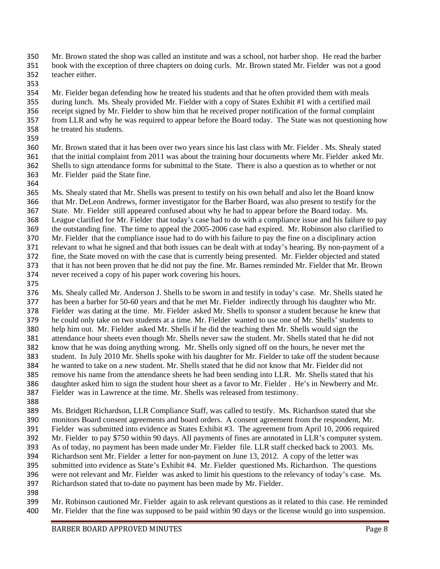- Mr. Brown stated the shop was called an institute and was a school, not barber shop. He read the barber
- book with the exception of three chapters on doing curls. Mr. Brown stated Mr. Fielder was not a good teacher either.
- 
- Mr. Fielder began defending how he treated his students and that he often provided them with meals
- during lunch. Ms. Shealy provided Mr. Fielder with a copy of States Exhibit #1 with a certified mail
- receipt signed by Mr. Fielder to show him that he received proper notification of the formal complaint
- from LLR and why he was required to appear before the Board today. The State was not questioning how
- he treated his students.
- 

 Mr. Brown stated that it has been over two years since his last class with Mr. Fielder . Ms. Shealy stated that the initial complaint from 2011 was about the training hour documents where Mr. Fielder asked Mr. Shells to sign attendance forms for submittal to the State. There is also a question as to whether or not Mr. Fielder paid the State fine.

 Ms. Shealy stated that Mr. Shells was present to testify on his own behalf and also let the Board know that Mr. DeLeon Andrews, former investigator for the Barber Board, was also present to testify for the State. Mr. Fielder still appeared confused about why he had to appear before the Board today. Ms. League clarified for Mr. Fielder that today's case had to do with a compliance issue and his failure to pay the outstanding fine. The time to appeal the 2005-2006 case had expired. Mr. Robinson also clarified to Mr. Fielder that the compliance issue had to do with his failure to pay the fine on a disciplinary action relevant to what he signed and that both issues can be dealt with at today's hearing. By non-payment of a fine, the State moved on with the case that is currently being presented. Mr. Fielder objected and stated that it has not been proven that he did not pay the fine. Mr. Barnes reminded Mr. Fielder that Mr. Brown never received a copy of his paper work covering his hours.

 Ms. Shealy called Mr. Anderson J. Shells to be sworn in and testify in today's case. Mr. Shells stated he has been a barber for 50-60 years and that he met Mr. Fielder indirectly through his daughter who Mr. Fielder was dating at the time. Mr. Fielder asked Mr. Shells to sponsor a student because he knew that he could only take on two students at a time. Mr. Fielder wanted to use one of Mr. Shells' students to help him out. Mr. Fielder asked Mr. Shells if he did the teaching then Mr. Shells would sign the attendance hour sheets even though Mr. Shells never saw the student. Mr. Shells stated that he did not know that he was doing anything wrong. Mr. Shells only signed off on the hours, he never met the student. In July 2010 Mr. Shells spoke with his daughter for Mr. Fielder to take off the student because he wanted to take on a new student. Mr. Shells stated that he did not know that Mr. Fielder did not remove his name from the attendance sheets he had been sending into LLR. Mr. Shells stated that his daughter asked him to sign the student hour sheet as a favor to Mr. Fielder . He's in Newberry and Mr. Fielder was in Lawrence at the time. Mr. Shells was released from testimony. 

- Ms. Bridgett Richardson, LLR Compliance Staff, was called to testify. Ms. Richardson stated that she monitors Board consent agreements and board orders. A consent agreement from the respondent, Mr. Fielder was submitted into evidence as States Exhibit #3. The agreement from April 10, 2006 required Mr. Fielder to pay \$750 within 90 days. All payments of fines are annotated in LLR's computer system. As of today, no payment has been made under Mr. Fielder file. LLR staff checked back to 2003. Ms. Richardson sent Mr. Fielder a letter for non-payment on June 13, 2012. A copy of the letter was submitted into evidence as State's Exhibit #4. Mr. Fielder questioned Ms. Richardson. The questions
- were not relevant and Mr. Fielder was asked to limit his questions to the relevancy of today's case. Ms. Richardson stated that to-date no payment has been made by Mr. Fielder.
- 

 Mr. Robinson cautioned Mr. Fielder again to ask relevant questions as it related to this case. He reminded Mr. Fielder that the fine was supposed to be paid within 90 days or the license would go into suspension.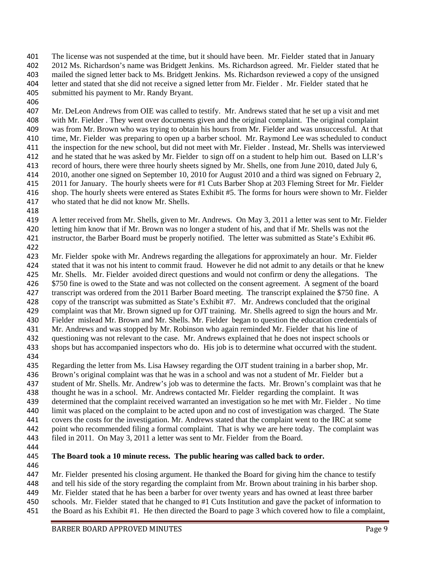The license was not suspended at the time, but it should have been. Mr. Fielder stated that in January 2012 Ms. Richardson's name was Bridgett Jenkins. Ms. Richardson agreed. Mr. Fielder stated that he mailed the signed letter back to Ms. Bridgett Jenkins. Ms. Richardson reviewed a copy of the unsigned letter and stated that she did not receive a signed letter from Mr. Fielder . Mr. Fielder stated that he submitted his payment to Mr. Randy Bryant.

 Mr. DeLeon Andrews from OIE was called to testify. Mr. Andrews stated that he set up a visit and met with Mr. Fielder . They went over documents given and the original complaint. The original complaint was from Mr. Brown who was trying to obtain his hours from Mr. Fielder and was unsuccessful. At that time, Mr. Fielder was preparing to open up a barber school. Mr. Raymond Lee was scheduled to conduct the inspection for the new school, but did not meet with Mr. Fielder . Instead, Mr. Shells was interviewed and he stated that he was asked by Mr. Fielder to sign off on a student to help him out. Based on LLR's record of hours, there were three hourly sheets signed by Mr. Shells, one from June 2010, dated July 6, 2010, another one signed on September 10, 2010 for August 2010 and a third was signed on February 2, 2011 for January. The hourly sheets were for #1 Cuts Barber Shop at 203 Fleming Street for Mr. Fielder shop. The hourly sheets were entered as States Exhibit #5. The forms for hours were shown to Mr. Fielder who stated that he did not know Mr. Shells.

 A letter received from Mr. Shells, given to Mr. Andrews. On May 3, 2011 a letter was sent to Mr. Fielder letting him know that if Mr. Brown was no longer a student of his, and that if Mr. Shells was not the

instructor, the Barber Board must be properly notified. The letter was submitted as State's Exhibit #6.

 Mr. Fielder spoke with Mr. Andrews regarding the allegations for approximately an hour. Mr. Fielder stated that it was not his intent to commit fraud. However he did not admit to any details or that he knew

Mr. Shells. Mr. Fielder avoided direct questions and would not confirm or deny the allegations. The

\$750 fine is owed to the State and was not collected on the consent agreement. A segment of the board

transcript was ordered from the 2011 Barber Board meeting. The transcript explained the \$750 fine. A

- copy of the transcript was submitted as State's Exhibit #7. Mr. Andrews concluded that the original
- complaint was that Mr. Brown signed up for OJT training. Mr. Shells agreed to sign the hours and Mr.
- Fielder mislead Mr. Brown and Mr. Shells. Mr. Fielder began to question the education credentials of
- Mr. Andrews and was stopped by Mr. Robinson who again reminded Mr. Fielder that his line of questioning was not relevant to the case. Mr. Andrews explained that he does not inspect schools or

shops but has accompanied inspectors who do. His job is to determine what occurred with the student.

Regarding the letter from Ms. Lisa Hawsey regarding the OJT student training in a barber shop, Mr.

Brown's original complaint was that he was in a school and was not a student of Mr. Fielder but a

student of Mr. Shells. Mr. Andrew's job was to determine the facts. Mr. Brown's complaint was that he

thought he was in a school. Mr. Andrews contacted Mr. Fielder regarding the complaint. It was

determined that the complaint received warranted an investigation so he met with Mr. Fielder . No time

limit was placed on the complaint to be acted upon and no cost of investigation was charged. The State

covers the costs for the investigation. Mr. Andrews stated that the complaint went to the IRC at some

point who recommended filing a formal complaint. That is why we are here today. The complaint was

filed in 2011. On May 3, 2011 a letter was sent to Mr. Fielder from the Board.

# **The Board took a 10 minute recess. The public hearing was called back to order.**

Mr. Fielder presented his closing argument. He thanked the Board for giving him the chance to testify

and tell his side of the story regarding the complaint from Mr. Brown about training in his barber shop.

- Mr. Fielder stated that he has been a barber for over twenty years and has owned at least three barber
- schools. Mr. Fielder stated that he changed to #1 Cuts Institution and gave the packet of information to
- the Board as his Exhibit #1. He then directed the Board to page 3 which covered how to file a complaint,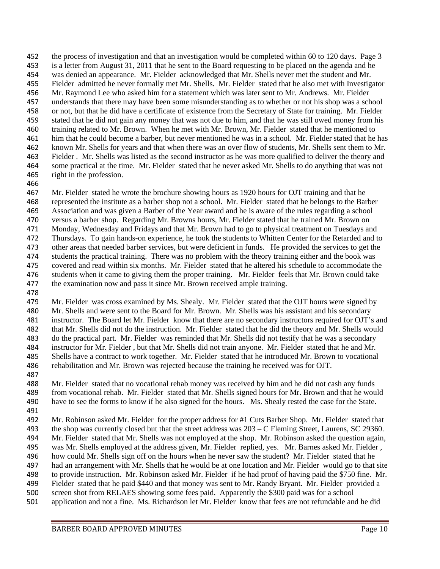the process of investigation and that an investigation would be completed within 60 to 120 days. Page 3 is a letter from August 31, 2011 that he sent to the Board requesting to be placed on the agenda and he was denied an appearance. Mr. Fielder acknowledged that Mr. Shells never met the student and Mr. Fielder admitted he never formally met Mr. Shells. Mr. Fielder stated that he also met with Investigator Mr. Raymond Lee who asked him for a statement which was later sent to Mr. Andrews. Mr. Fielder understands that there may have been some misunderstanding as to whether or not his shop was a school or not, but that he did have a certificate of existence from the Secretary of State for training. Mr. Fielder stated that he did not gain any money that was not due to him, and that he was still owed money from his training related to Mr. Brown. When he met with Mr. Brown, Mr. Fielder stated that he mentioned to him that he could become a barber, but never mentioned he was in a school. Mr. Fielder stated that he has known Mr. Shells for years and that when there was an over flow of students, Mr. Shells sent them to Mr. Fielder . Mr. Shells was listed as the second instructor as he was more qualified to deliver the theory and some practical at the time. Mr. Fielder stated that he never asked Mr. Shells to do anything that was not right in the profession.

 Mr. Fielder stated he wrote the brochure showing hours as 1920 hours for OJT training and that he represented the institute as a barber shop not a school. Mr. Fielder stated that he belongs to the Barber Association and was given a Barber of the Year award and he is aware of the rules regarding a school versus a barber shop. Regarding Mr. Browns hours, Mr. Fielder stated that he trained Mr. Brown on Monday, Wednesday and Fridays and that Mr. Brown had to go to physical treatment on Tuesdays and Thursdays. To gain hands-on experience, he took the students to Whitten Center for the Retarded and to other areas that needed barber services, but were deficient in funds. He provided the services to get the students the practical training. There was no problem with the theory training either and the book was covered and read within six months. Mr. Fielder stated that he altered his schedule to accommodate the students when it came to giving them the proper training. Mr. Fielder feels that Mr. Brown could take 477 the examination now and pass it since Mr. Brown received ample training.

 Mr. Fielder was cross examined by Ms. Shealy. Mr. Fielder stated that the OJT hours were signed by Mr. Shells and were sent to the Board for Mr. Brown. Mr. Shells was his assistant and his secondary instructor. The Board let Mr. Fielder know that there are no secondary instructors required for OJT's and that Mr. Shells did not do the instruction. Mr. Fielder stated that he did the theory and Mr. Shells would do the practical part. Mr. Fielder was reminded that Mr. Shells did not testify that he was a secondary instructor for Mr. Fielder , but that Mr. Shells did not train anyone. Mr. Fielder stated that he and Mr. Shells have a contract to work together. Mr. Fielder stated that he introduced Mr. Brown to vocational rehabilitation and Mr. Brown was rejected because the training he received was for OJT. 

 Mr. Fielder stated that no vocational rehab money was received by him and he did not cash any funds from vocational rehab. Mr. Fielder stated that Mr. Shells signed hours for Mr. Brown and that he would have to see the forms to know if he also signed for the hours. Ms. Shealy rested the case for the State.

 Mr. Robinson asked Mr. Fielder for the proper address for #1 Cuts Barber Shop. Mr. Fielder stated that the shop was currently closed but that the street address was 203 – C Fleming Street, Laurens, SC 29360. Mr. Fielder stated that Mr. Shells was not employed at the shop. Mr. Robinson asked the question again, was Mr. Shells employed at the address given, Mr. Fielder replied, yes. Mr. Barnes asked Mr. Fielder , how could Mr. Shells sign off on the hours when he never saw the student? Mr. Fielder stated that he had an arrangement with Mr. Shells that he would be at one location and Mr. Fielder would go to that site to provide instruction. Mr. Robinson asked Mr. Fielder if he had proof of having paid the \$750 fine. Mr. Fielder stated that he paid \$440 and that money was sent to Mr. Randy Bryant. Mr. Fielder provided a screen shot from RELAES showing some fees paid. Apparently the \$300 paid was for a school application and not a fine. Ms. Richardson let Mr. Fielder know that fees are not refundable and he did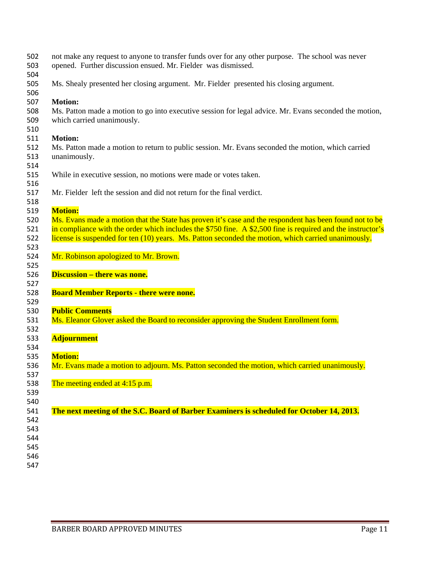| 502<br>503 | not make any request to anyone to transfer funds over for any other purpose. The school was never<br>opened. Further discussion ensued. Mr. Fielder was dismissed. |
|------------|--------------------------------------------------------------------------------------------------------------------------------------------------------------------|
| 504        |                                                                                                                                                                    |
| 505<br>506 | Ms. Shealy presented her closing argument. Mr. Fielder presented his closing argument.                                                                             |
| 507        | <b>Motion:</b>                                                                                                                                                     |
| 508        | Ms. Patton made a motion to go into executive session for legal advice. Mr. Evans seconded the motion,                                                             |
| 509<br>510 | which carried unanimously.                                                                                                                                         |
| 511        | <b>Motion:</b>                                                                                                                                                     |
| 512        | Ms. Patton made a motion to return to public session. Mr. Evans seconded the motion, which carried                                                                 |
| 513<br>514 | unanimously.                                                                                                                                                       |
| 515        | While in executive session, no motions were made or votes taken.                                                                                                   |
| 516<br>517 | Mr. Fielder left the session and did not return for the final verdict.                                                                                             |
| 518        |                                                                                                                                                                    |
| 519        | <b>Motion:</b>                                                                                                                                                     |
| 520        | Ms. Evans made a motion that the State has proven it's case and the respondent has been found not to be                                                            |
| 521        | in compliance with the order which includes the \$750 fine. A \$2,500 fine is required and the instructor's                                                        |
| 522        | license is suspended for ten (10) years. Ms. Patton seconded the motion, which carried unanimously.                                                                |
| 523        |                                                                                                                                                                    |
| 524        | Mr. Robinson apologized to Mr. Brown.                                                                                                                              |
| 525        |                                                                                                                                                                    |
| 526        | <b>Discussion – there was none.</b>                                                                                                                                |
| 527        |                                                                                                                                                                    |
| 528        | <b>Board Member Reports - there were none.</b>                                                                                                                     |
| 529        |                                                                                                                                                                    |
| 530        | <b>Public Comments</b>                                                                                                                                             |
| 531        | Ms. Eleanor Glover asked the Board to reconsider approving the Student Enrollment form.                                                                            |
| 532<br>533 | <b>Adjournment</b>                                                                                                                                                 |
| 534        |                                                                                                                                                                    |
| 535        | <b>Motion:</b>                                                                                                                                                     |
| 536        | Mr. Evans made a motion to adjourn. Ms. Patton seconded the motion, which carried unanimously.                                                                     |
| 537        |                                                                                                                                                                    |
| 538        | The meeting ended at $4:15$ p.m.                                                                                                                                   |
| 539        |                                                                                                                                                                    |
| 540        |                                                                                                                                                                    |
| 541        | The next meeting of the S.C. Board of Barber Examiners is scheduled for October 14, 2013.                                                                          |
| 542        |                                                                                                                                                                    |
| 543        |                                                                                                                                                                    |
| 544        |                                                                                                                                                                    |
| 545        |                                                                                                                                                                    |
| 546        |                                                                                                                                                                    |
| 547        |                                                                                                                                                                    |